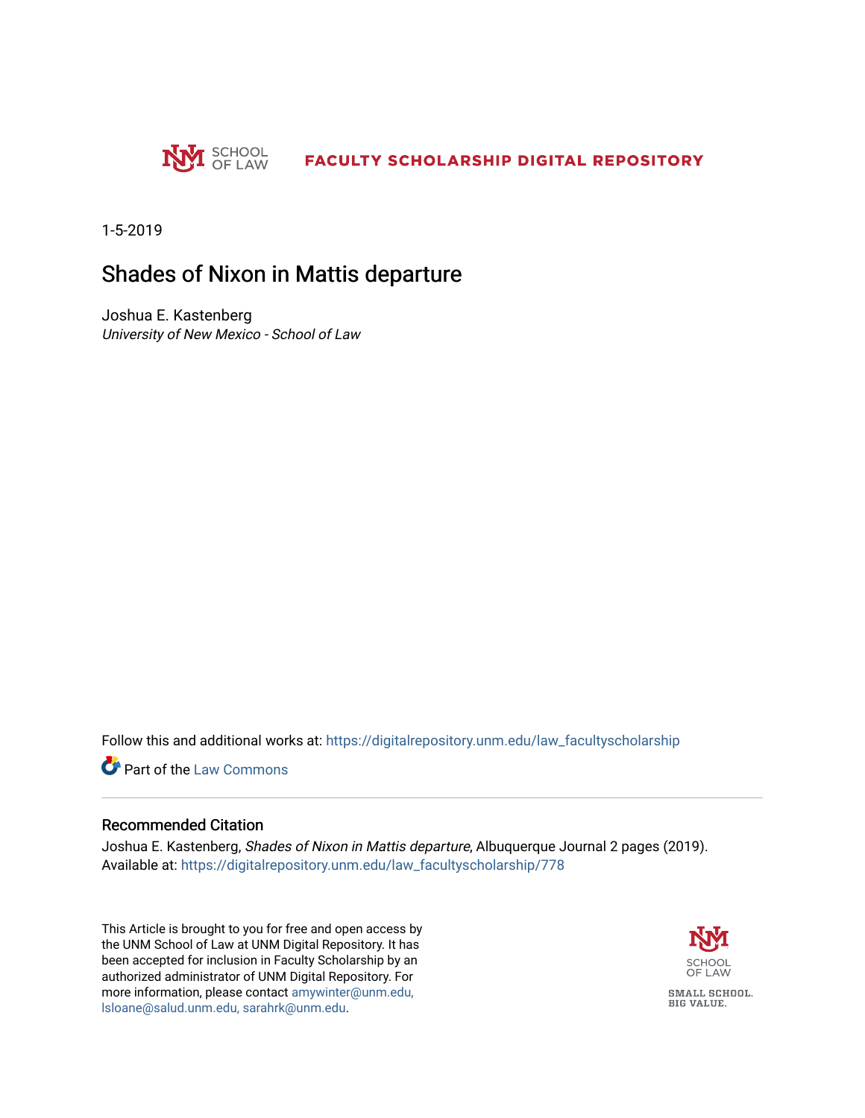

1-5-2019

### Shades of Nixon in Mattis departure

Joshua E. Kastenberg University of New Mexico - School of Law

Follow this and additional works at: [https://digitalrepository.unm.edu/law\\_facultyscholarship](https://digitalrepository.unm.edu/law_facultyscholarship?utm_source=digitalrepository.unm.edu%2Flaw_facultyscholarship%2F778&utm_medium=PDF&utm_campaign=PDFCoverPages) 

**Part of the [Law Commons](http://network.bepress.com/hgg/discipline/578?utm_source=digitalrepository.unm.edu%2Flaw_facultyscholarship%2F778&utm_medium=PDF&utm_campaign=PDFCoverPages)** 

#### Recommended Citation

Joshua E. Kastenberg, Shades of Nixon in Mattis departure, Albuquerque Journal 2 pages (2019). Available at: [https://digitalrepository.unm.edu/law\\_facultyscholarship/778](https://digitalrepository.unm.edu/law_facultyscholarship/778?utm_source=digitalrepository.unm.edu%2Flaw_facultyscholarship%2F778&utm_medium=PDF&utm_campaign=PDFCoverPages) 

This Article is brought to you for free and open access by the UNM School of Law at UNM Digital Repository. It has been accepted for inclusion in Faculty Scholarship by an authorized administrator of UNM Digital Repository. For more information, please contact [amywinter@unm.edu,](mailto:amywinter@unm.edu,%20lsloane@salud.unm.edu,%20sarahrk@unm.edu)  [lsloane@salud.unm.edu, sarahrk@unm.edu.](mailto:amywinter@unm.edu,%20lsloane@salud.unm.edu,%20sarahrk@unm.edu)

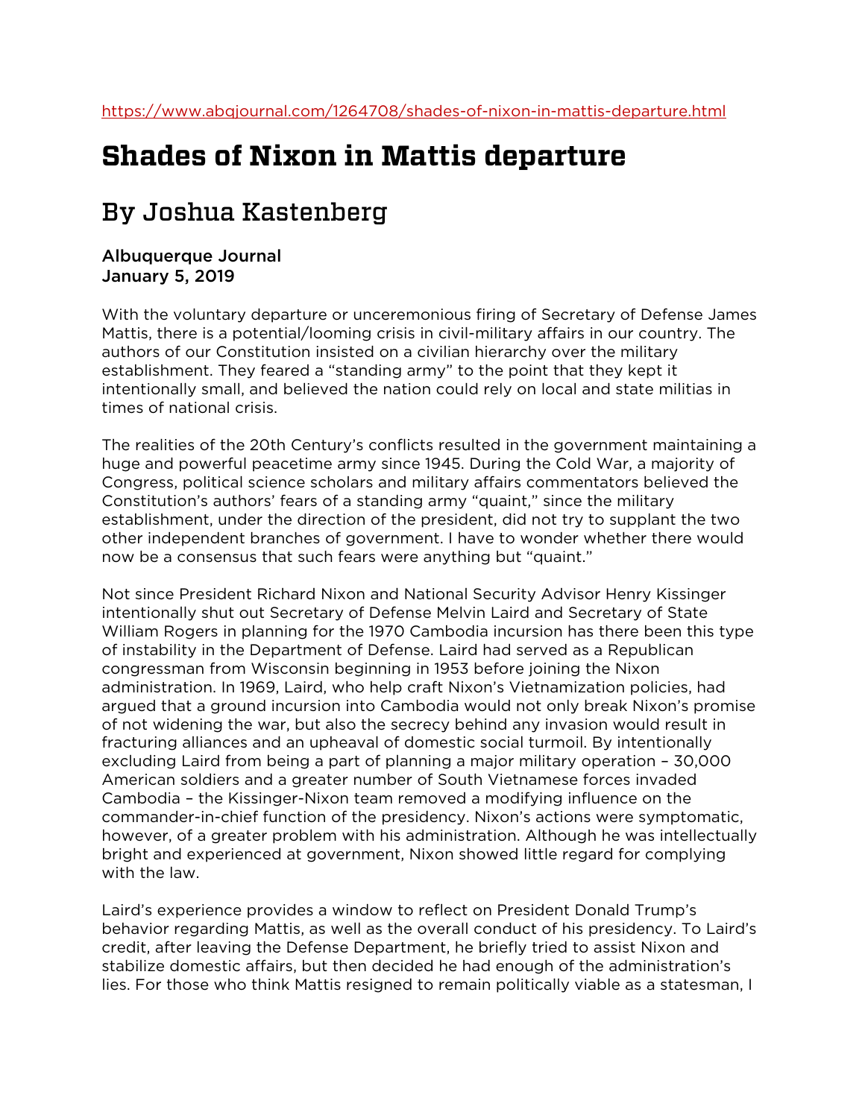# **Shades of Nixon in Mattis departure**

## By Joshua Kastenberg

#### Albuquerque Journal January 5, 2019

With the voluntary departure or unceremonious firing of Secretary of Defense James Mattis, there is a potential/looming crisis in civil-military affairs in our country. The authors of our Constitution insisted on a civilian hierarchy over the military establishment. They feared a "standing army" to the point that they kept it intentionally small, and believed the nation could rely on local and state militias in times of national crisis.

The realities of the 20th Century's conflicts resulted in the government maintaining a huge and powerful peacetime army since 1945. During the Cold War, a majority of Congress, political science scholars and military affairs commentators believed the Constitution's authors' fears of a standing army "quaint," since the military establishment, under the direction of the president, did not try to supplant the two other independent branches of government. I have to wonder whether there would now be a consensus that such fears were anything but "quaint."

Not since President Richard Nixon and National Security Advisor Henry Kissinger intentionally shut out Secretary of Defense Melvin Laird and Secretary of State William Rogers in planning for the 1970 Cambodia incursion has there been this type of instability in the Department of Defense. Laird had served as a Republican congressman from Wisconsin beginning in 1953 before joining the Nixon administration. In 1969, Laird, who help craft Nixon's Vietnamization policies, had argued that a ground incursion into Cambodia would not only break Nixon's promise of not widening the war, but also the secrecy behind any invasion would result in fracturing alliances and an upheaval of domestic social turmoil. By intentionally excluding Laird from being a part of planning a major military operation – 30,000 American soldiers and a greater number of South Vietnamese forces invaded Cambodia – the Kissinger-Nixon team removed a modifying influence on the commander-in-chief function of the presidency. Nixon's actions were symptomatic, however, of a greater problem with his administration. Although he was intellectually bright and experienced at government, Nixon showed little regard for complying with the law.

Laird's experience provides a window to reflect on President Donald Trump's behavior regarding Mattis, as well as the overall conduct of his presidency. To Laird's credit, after leaving the Defense Department, he briefly tried to assist Nixon and stabilize domestic affairs, but then decided he had enough of the administration's lies. For those who think Mattis resigned to remain politically viable as a statesman, I